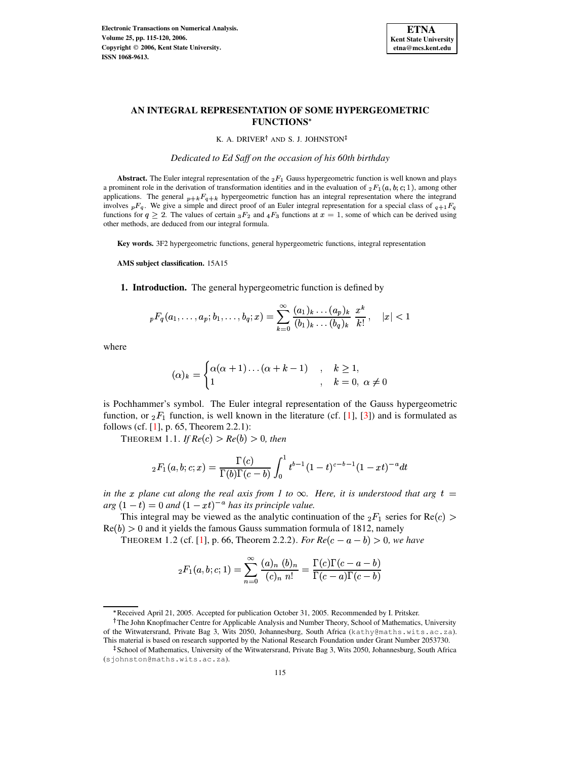

## **AN INTEGRAL REPRESENTATION OF SOME HYPERGEOMETRIC FUNCTIONS**

K. A. DRIVER<sup>†</sup> AND S. J. JOHNSTON

*Dedicated to Ed Saff on the occasion of his 60th birthday*

**Abstract.** The Euler integral representation of the  $_2F_1$  Gauss hypergeometric function is well known and plays a prominent role in the derivation of transformation identities and in the evaluation of  ${}_2F_1(a, b; c; 1)$ , among other applications. The general  $_{p+k}F_{q+k}$  hypergeometric function has an integral representation where the integrand involves  $pF_q$ . We give a simple and direct proof of an Euler integral representation for a special class of  $q+1F_q$ functions for  $q > 2$ . The values of certain  ${}_3F_2$  and  ${}_4F_3$  functions at  $x = 1$ , some of which can be derived using other methods, are deduced from our integral formula.

**Key words.** 3F2 hypergeometric functions, general hypergeometric functions, integral representation

**AMS subject classification.** 15A15

## **1. Introduction.** The general hypergeometric function is defined by

$$
{}_{p}F_{q}(a_{1},\ldots,a_{p};b_{1},\ldots,b_{q};x) = \sum_{k=0}^{\infty} \frac{(a_{1})_{k}\ldots(a_{p})_{k}}{(b_{1})_{k}\ldots(b_{q})_{k}} \frac{x^{k}}{k!}, \quad |x| < 1
$$

where

$$
(\alpha)_k = \begin{cases} \alpha(\alpha+1)\dots(\alpha+k-1) & , k \geq 1, \\ 1 & , k = 0, \ \alpha \neq 0 \end{cases}
$$

is Pochhammer's symbol. The Euler integral representation of the Gauss hypergeometric function, or  ${}_2F_1$  function, is well known in the literature (cf. [\[1\]](#page-5-0), [\[3\]](#page-5-1)) and is formulated as follows (cf. [\[1\]](#page-5-0), p. 65, Theorem 2.2.1):

THEOREM 1.1. *If*  $Re(c) > Re(b) > 0$ , *then* 

$$
{}_2F_1(a,b;c;x)=\frac{\Gamma(c)}{\Gamma(b)\Gamma(c-b)}\int_0^1t^{b-1}(1-t)^{c-b-1}(1-xt)^{-a}dt
$$

*in the* x plane cut along the real axis from 1 to  $\infty$ . Here, it is understood that arg t =  $arg(1-t) = 0$  and  $(1 - xt)^{-a}$  has its principle value.

This integral may be viewed as the analytic continuation of the  ${}_2F_1$  series for Re(c) >  $Re(b) > 0$  and it yields the famous Gauss summation formula of 1812, namely

**THEOREM 1.2 (cf. [\[1\]](#page-5-0), p. 66, Theorem 2.2.2).** *For*  $Re(c - a - b) > 0$ , we have

$$
{}_2F_1(a, b; c; 1) = \sum_{n=0}^{\infty} \frac{(a)_n (b)_n}{(c)_n n!} = \frac{\Gamma(c)\Gamma(c-a-b)}{\Gamma(c-a)\Gamma(c-b)}
$$

<sup>w</sup> Received April 21, 2005. Accepted for publication October 31, 2005. Recommended by I. Pritsker.

<sup>&</sup>lt;sup>†</sup>The John Knopfmacher Centre for Applicable Analysis and Number Theory, School of Mathematics, University of the Witwatersrand, Private Bag 3, Wits 2050, Johannesburg, South Africa (kathy@maths.wits.ac.za). This material is based on research supported by the National Research Foundation under Grant Number 2053730.

<sup>&</sup>lt;sup>‡</sup> School of Mathematics, University of the Witwatersrand, Private Bag 3, Wits 2050, Johannesburg, South Africa (sjohnston@maths.wits.ac.za).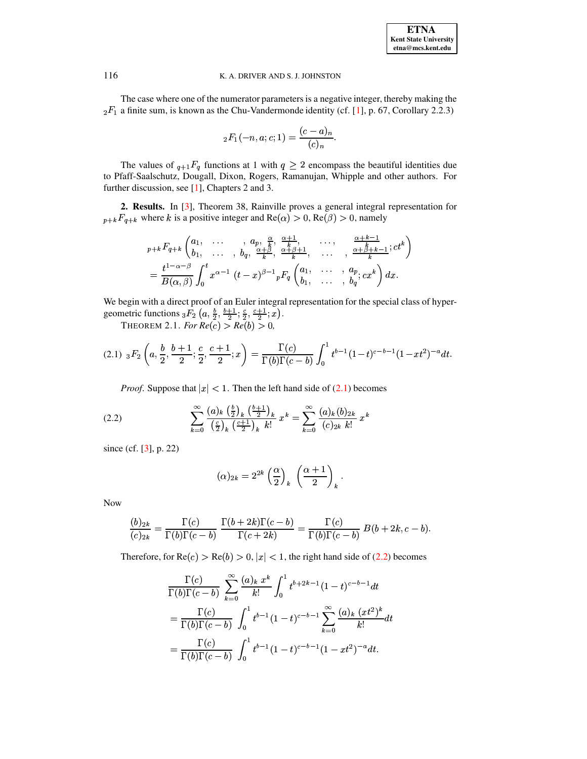## 116 K. A. DRIVER AND S. J. JOHNSTON

The case where one of the numerator parametersis a negative integer, thereby making the  $_2F_1$  a finite sum, is known as the Chu-Vandermonde identity (cf. [\[1\]](#page-5-0), p. 67, Corollary 2.2.3)

$$
{}_2F_1(-n,a;c;1) = \frac{(c-a)_n}{(c)_n}.
$$

The values of  ${}_{q+1}F_q$  functions at 1 with  $q \geq 2$  encompass the beautiful identities due to Pfaff-Saalschutz, Dougall, Dixon, Rogers, Ramanujan, Whipple and other authors. For further discussion, see [\[1\]](#page-5-0), Chapters 2 and 3.

**2. Results.** In [\[3\]](#page-5-1), Theorem 38, Rainville proves a general integral representation for  $_{p+k}F_{q+k}$  where k is a positive integer and Re( $\alpha$ ) > 0, Re( $\beta$ ) > 0, namely

$$
p+kF_{q+k}\begin{pmatrix}a_1, & \dots, & a_p, \frac{\alpha}{k}, \frac{\alpha+1}{k}, & \dots, & \frac{\alpha+k-1}{k}\\b_1, & \dots, & b_q, \frac{\alpha+\beta}{k}, \frac{\alpha+\beta+1}{k}, & \dots, & \frac{\alpha+\beta+k-1}{k}; ct^k\end{pmatrix}
$$
  
= 
$$
\frac{t^{1-\alpha-\beta}}{B(\alpha,\beta)}\int_0^t x^{\alpha-1} (t-x)^{\beta-1} {}_{p}F_q\begin{pmatrix}a_1, & \dots, & a_p, & c x^k\\b_1, & \dots, & b_q, & c x^k\end{pmatrix} dx.
$$

<span id="page-1-2"></span>We begin with a direct proof of an Euler integral representation for the special class of hypergeometric functions  ${}_3F_2$   $\left(a, \frac{b}{2}, \frac{b+1}{2}; \frac{c}{2}, \frac{c+1}{2}; x\right)$ .

<span id="page-1-0"></span>THEOREM 2.1. *For*  $Re(c) > Re(b) > 0$ ,

$$
(2.1) \ \ _3F_2\left(a, \frac{b}{2}, \frac{b+1}{2}; \frac{c}{2}, \frac{c+1}{2}; x\right) = \frac{\Gamma(c)}{\Gamma(b)\Gamma(c-b)} \int_0^1 t^{b-1} (1-t)^{c-b-1} (1-xt^2)^{-a} dt.
$$

*Proof.* Suppose that  $|x| < 1$ . Then the left hand side of [\(2.1\)](#page-1-0) becomes

(2.2) 
$$
\sum_{k=0}^{\infty} \frac{(a)_k \left(\frac{b}{2}\right)_k \left(\frac{b+1}{2}\right)_k}{\left(\frac{c}{2}\right)_k \left(\frac{c+1}{2}\right)_k k!} x^k = \sum_{k=0}^{\infty} \frac{(a)_k (b)_{2k}}{(c)_{2k} k!} x^k
$$

since (cf. [\[3\]](#page-5-1), p. 22)

<span id="page-1-1"></span>
$$
(\alpha)_{2k}=2^{2k}\left(\frac{\alpha}{2}\right)_k\,\left(\frac{\alpha+1}{2}\right)_k.
$$

Now

$$
\frac{(b)_{2k}}{(c)_{2k}} = \frac{\Gamma(c)}{\Gamma(b)\Gamma(c-b)} \frac{\Gamma(b+2k)\Gamma(c-b)}{\Gamma(c+2k)} = \frac{\Gamma(c)}{\Gamma(b)\Gamma(c-b)} B(b+2k, c-b).
$$

Therefore, for  $\text{Re}(c) > \text{Re}(b) > 0, |x| < 1$ , the right hand side of [\(2.2\)](#page-1-1) becomes

$$
\frac{\Gamma(c)}{\Gamma(b)\Gamma(c-b)} \sum_{k=0}^{\infty} \frac{(a)_k x^k}{k!} \int_0^1 t^{b+2k-1} (1-t)^{c-b-1} dt
$$
  
= 
$$
\frac{\Gamma(c)}{\Gamma(b)\Gamma(c-b)} \int_0^1 t^{b-1} (1-t)^{c-b-1} \sum_{k=0}^{\infty} \frac{(a)_k (xt^2)^k}{k!} dt
$$
  
= 
$$
\frac{\Gamma(c)}{\Gamma(b)\Gamma(c-b)} \int_0^1 t^{b-1} (1-t)^{c-b-1} (1-xt^2)^{-a} dt.
$$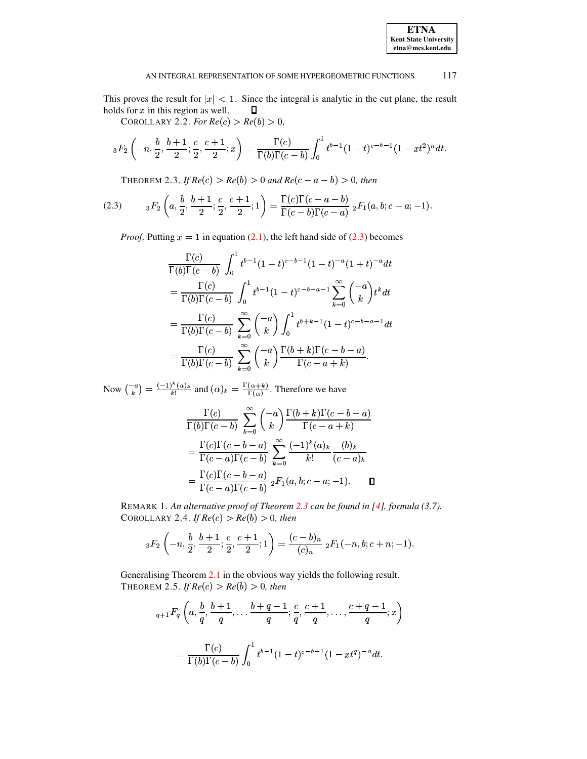## AN INTEGRAL REPRESENTATION OF SOME HYPERGEOMETRIC FUNCTIONS 117

This proves the result for  $|x| < 1$ . Since the integral is analytic in the cut plane, the result holds for  $x$  in this region as well. Д

COROLLARY 2.2. *For*  $Re(c) > Re(b) > 0$ ,

$$
{}_3F_2\left(-n,\frac{b}{2},\frac{b+1}{2};\frac{c}{2},\frac{c+1}{2};x\right)=\frac{\Gamma(c)}{\Gamma(b)\Gamma(c-b)}\int_0^1t^{b-1}(1-t)^{c-b-1}(1-xt^2)^ndt.
$$

THEOREM 2.3. *If*  $Re(c) > Re(b) > 0$  and  $Re(c - a - b) > 0$ , then

<span id="page-2-1"></span>
$$
(2.3) \t\t\t sF_2\left(a,\frac{b}{2},\frac{b+1}{2};\frac{c}{2},\frac{c+1}{2};1\right) = \frac{\Gamma(c)\Gamma(c-a-b)}{\Gamma(c-b)\Gamma(c-a)} {}_2F_1(a,b;c-a;-1).
$$

*Proof.* Putting  $x = 1$  in equation [\(2.1\)](#page-1-0), the left hand side of [\(2.3\)](#page-2-0) becomes

<span id="page-2-0"></span>
$$
\frac{\Gamma(c)}{\Gamma(b)\Gamma(c-b)} \int_0^1 t^{b-1} (1-t)^{c-b-1} (1-t)^{-a} (1+t)^{-a} dt
$$

$$
= \frac{\Gamma(c)}{\Gamma(b)\Gamma(c-b)} \int_0^1 t^{b-1} (1-t)^{c-b-a-1} \sum_{k=0}^\infty {\binom{-a}{k}} t^k dt
$$

$$
= \frac{\Gamma(c)}{\Gamma(b)\Gamma(c-b)} \sum_{k=0}^\infty {\binom{-a}{k}} \int_0^1 t^{b+k-1} (1-t)^{c-b-a-1} dt
$$

$$
= \frac{\Gamma(c)}{\Gamma(b)\Gamma(c-b)} \sum_{k=0}^\infty {\binom{-a}{k}} \frac{\Gamma(b+k)\Gamma(c-b-a)}{\Gamma(c-a+k)}.
$$

Now  $\binom{-a}{k} = \frac{(-1)^{-(a)}k}{k!}$  and (  $\frac{\int_{R}^{R}(a)_k}{B}$  and  $(\alpha)_k = \frac{\Gamma(\alpha+k)}{\Gamma(\alpha)}$ . Therefore we have

$$
\frac{\Gamma(c)}{\Gamma(b)\Gamma(c-b)} \sum_{k=0}^{\infty} {\binom{-a}{k}} \frac{\Gamma(b+k)\Gamma(c-b-a)}{\Gamma(c-a+k)}
$$

$$
= \frac{\Gamma(c)\Gamma(c-b-a)}{\Gamma(c-a)\Gamma(c-b)} \sum_{k=0}^{\infty} \frac{(-1)^k(a)_k}{k!} \frac{(b)_k}{(c-a)_k}
$$

$$
= \frac{\Gamma(c)\Gamma(c-b-a)}{\Gamma(c-a)\Gamma(c-b)} {}_2F_1(a,b;c-a;-1). \square
$$

<span id="page-2-3"></span>REMARK 1. *An alternative proof of Theorem [2.3](#page-2-1) can be found in [\[4\]](#page-5-2), formula (3.7).* COROLLARY 2.4. *If*  $Re(c) > Re(b) > 0$ *, then* 

$$
{}_3F_2\left(-n,\frac{b}{2},\frac{b+1}{2};\frac{c}{2},\frac{c+1}{2};1\right)=\frac{(c-b)_n}{(c)_n}\, {}_2F_1(-n,b;c+n;-1).
$$

<span id="page-2-2"></span>Generalising Theorem [2.1](#page-1-2) in the obvious way yields the following result. THEOREM 2.5. *If*  $Re(c) > Re(b) > 0$ , *then* 

$$
q+1 F_q\left(a, \frac{b}{q}, \frac{b+1}{q}, \dots, \frac{b+q-1}{q}; \frac{c}{q}, \frac{c+1}{q}, \dots, \frac{c+q-1}{q}; x\right)
$$
  
= 
$$
\frac{\Gamma(c)}{\Gamma(b)\Gamma(c-b)} \int_0^1 t^{b-1} (1-t)^{c-b-1} (1-xt^q)^{-a} dt.
$$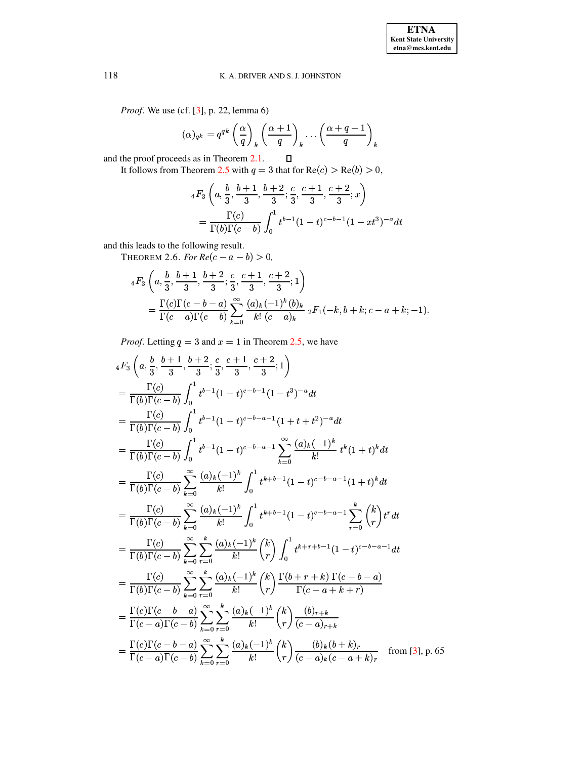# 118 K. A. DRIVER AND S. J. JOHNSTON

*Proof*. We use (cf. [\[3\]](#page-5-1), p. 22, lemma 6)

$$
(\alpha)_{qk} = q^{qk} \left(\frac{\alpha}{q}\right)_k \left(\frac{\alpha+1}{q}\right)_k \dots \left(\frac{\alpha+q-1}{q}\right)_k
$$
  
ds as in Theorem 2.1.  $\square$ 

and the proof proceeds as in Theorem [2.1.](#page-1-2)

It follows from Theorem [2.5](#page-2-2) with  $q=3$  that for  $Re (c) > Re (b) > 0$ ,

$$
{}_{4}F_{3}\left(a,\frac{b}{3},\frac{b+1}{3},\frac{b+2}{3};\frac{c}{3},\frac{c+1}{3},\frac{c+2}{3};x\right)
$$
  
= 
$$
\frac{\Gamma(c)}{\Gamma(b)\Gamma(c-b)}\int_{0}^{1}t^{b-1}(1-t)^{c-b-1}(1-xt^{3})^{-a}dt
$$

and this leads to the following result.

THEOREM 2.6. *For*  $Re(c - a - b) > 0$ ,

$$
{}_{4}F_{3}\left(a,\frac{b}{3},\frac{b+1}{3},\frac{b+2}{3};\frac{c}{3},\frac{c+1}{3},\frac{c+2}{3};1\right)
$$
  
= 
$$
\frac{\Gamma(c)\Gamma(c-b-a)}{\Gamma(c-a)\Gamma(c-b)}\sum_{k=0}^{\infty}\frac{(a)_{k}(-1)^{k}(b)_{k}}{k! (c-a)_{k}} {}_{2}F_{1}(-k,b+k;c-a+k;-1).
$$

*Proof.* Letting  $q = 3$  and  $x = 1$  in Theorem [2.5,](#page-2-2) we have

$$
{}_{4}F_{3}\left(a,\frac{b}{3},\frac{b+1}{3},\frac{b+2}{3};\frac{c}{3},\frac{c+1}{3},\frac{c+2}{3};1\right)
$$
\n
$$
= \frac{\Gamma(c)}{\Gamma(b)\Gamma(c-b)} \int_{0}^{1} t^{b-1} (1-t)^{c-b-1} (1-t^{3})^{-a} dt
$$
\n
$$
= \frac{\Gamma(c)}{\Gamma(b)\Gamma(c-b)} \int_{0}^{1} t^{b-1} (1-t)^{c-b-a-1} (1+t+t^{2})^{-a} dt
$$
\n
$$
= \frac{\Gamma(c)}{\Gamma(b)\Gamma(c-b)} \int_{0}^{1} t^{b-1} (1-t)^{c-b-a-1} \sum_{k=0}^{\infty} \frac{(a)_k (-1)^k}{k!} t^k (1+t)^k dt
$$
\n
$$
= \frac{\Gamma(c)}{\Gamma(b)\Gamma(c-b)} \sum_{k=0}^{\infty} \frac{(a)_k (-1)^k}{k!} \int_{0}^{1} t^{k+b-1} (1-t)^{c-b-a-1} (1+t)^k dt
$$
\n
$$
= \frac{\Gamma(c)}{\Gamma(b)\Gamma(c-b)} \sum_{k=0}^{\infty} \frac{(a)_k (-1)^k}{k!} \int_{0}^{1} t^{k+b-1} (1-t)^{c-b-a-1} \sum_{r=0}^{k} {k \choose r} t^r dt
$$
\n
$$
= \frac{\Gamma(c)}{\Gamma(b)\Gamma(c-b)} \sum_{k=0}^{\infty} \sum_{r=0}^{k} \frac{(a)_k (-1)^k}{k!} {k \choose r} \int_{0}^{1} t^{k+r+b-1} (1-t)^{c-b-a-1} dt
$$
\n
$$
= \frac{\Gamma(c)}{\Gamma(b)\Gamma(c-b)} \sum_{k=0}^{\infty} \sum_{r=0}^{k} \frac{(a)_k (-1)^k}{k!} {k \choose r} \frac{\Gamma(b+r+k) \Gamma(c-b-a)}{\Gamma(c-a+k+r)}
$$
\n
$$
= \frac{\Gamma(c)\Gamma(c-b-a)}{\Gamma(c-a)\Gamma(c-b)} \sum_{k=0}^{\infty} \sum_{r=0}^{k} \frac{(a)_k (-1)^k}{k!} {k \choose r} \frac{(b)_r+k}{(c-a)_r+k}
$$
\n
$$
= \frac{\Gamma(c)\Gamma(c-b-a)}{\Gamma(c-a)\Gamma(c-b)} \sum_{k=0}^{\infty
$$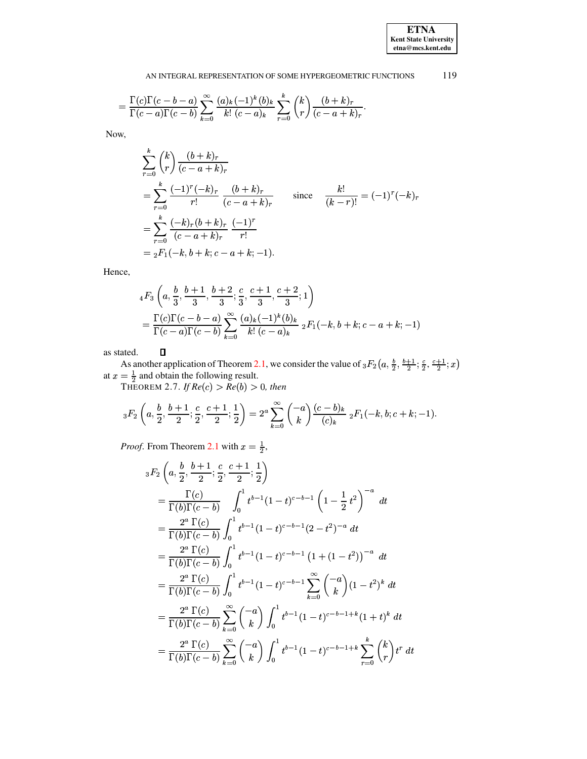## **ETNA** Kent State University  $etna@mcs. kent.edu$

#### 119 AN INTEGRAL REPRESENTATION OF SOME HYPERGEOMETRIC FUNCTIONS

$$
= \frac{\Gamma(c)\Gamma(c-b-a)}{\Gamma(c-a)\Gamma(c-b)} \sum_{k=0}^{\infty} \frac{(a)_k (-1)^k (b)_k}{k! (c-a)_k} \sum_{r=0}^k {k \choose r} \frac{(b+k)_r}{(c-a+k)_r}.
$$

Now,

$$
\sum_{r=0}^{k} {k \choose r} \frac{(b+k)_r}{(c-a+k)_r}
$$
\n
$$
= \sum_{r=0}^{k} \frac{(-1)^r (-k)_r}{r!} \frac{(b+k)_r}{(c-a+k)_r} \quad \text{since} \quad \frac{k!}{(k-r)!} = (-1)^r (-k)_r
$$
\n
$$
= \sum_{r=0}^{k} \frac{(-k)_r (b+k)_r}{(c-a+k)_r} \frac{(-1)^r}{r!}
$$
\n
$$
= {}_2F_1(-k, b+k; c-a+k; -1).
$$

Hence,

$$
{}_{4}F_{3}\left(a,\frac{b}{3},\frac{b+1}{3},\frac{b+2}{3};\frac{c}{3},\frac{c+1}{3},\frac{c+2}{3};1\right)
$$
  
= 
$$
\frac{\Gamma(c)\Gamma(c-b-a)}{\Gamma(c-a)\Gamma(c-b)}\sum_{k=0}^{\infty}\frac{(a)_k(-1)^k(b)_k}{k!\,(c-a)_k} {}_{2}F_{1}(-k,b+k;c-a+k;-1)
$$

as stated.  $\Box$ 

<span id="page-4-0"></span>As another application of Theorem 2.1, we consider the value of  ${}_3F_2(a, \frac{b}{2}, \frac{b+1}{2}; \frac{c}{2}, \frac{c+1}{2}; x)$ <br>at  $x = \frac{1}{2}$  and obtain the following result.<br>THEOREM 2.7. If  $Re(c) > Re(b) > 0$ , then

$$
{}_3F_2\left(a, \frac{b}{2}, \frac{b+1}{2}; \frac{c}{2}, \frac{c+1}{2}; \frac{1}{2}\right) = 2^a \sum_{k=0}^{\infty} {\binom{-a}{k}} \frac{(c-b)_k}{(c)_k} {}_2F_1(-k, b; c+k; -1).
$$

*Proof.* From Theorem 2.1 with  $x = \frac{1}{2}$ ,

$$
{}_{3}F_{2}\left(a,\frac{b}{2},\frac{b+1}{2};\frac{c}{2},\frac{c+1}{2};\frac{1}{2}\right)
$$
\n
$$
=\frac{\Gamma(c)}{\Gamma(b)\Gamma(c-b)}\int_{0}^{1}t^{b-1}(1-t)^{c-b-1}\left(1-\frac{1}{2}t^{2}\right)^{-a}dt
$$
\n
$$
=\frac{2^{a}\Gamma(c)}{\Gamma(b)\Gamma(c-b)}\int_{0}^{1}t^{b-1}(1-t)^{c-b-1}(2-t^{2})^{-a}dt
$$
\n
$$
=\frac{2^{a}\Gamma(c)}{\Gamma(b)\Gamma(c-b)}\int_{0}^{1}t^{b-1}(1-t)^{c-b-1}\left(1+(1-t^{2})\right)^{-a}dt
$$
\n
$$
=\frac{2^{a}\Gamma(c)}{\Gamma(b)\Gamma(c-b)}\int_{0}^{1}t^{b-1}(1-t)^{c-b-1}\sum_{k=0}^{\infty}\binom{-a}{k}(1-t^{2})^{k}dt
$$
\n
$$
=\frac{2^{a}\Gamma(c)}{\Gamma(b)\Gamma(c-b)}\sum_{k=0}^{\infty}\binom{-a}{k}\int_{0}^{1}t^{b-1}(1-t)^{c-b-1+k}(1+t)^{k}dt
$$
\n
$$
=\frac{2^{a}\Gamma(c)}{\Gamma(b)\Gamma(c-b)}\sum_{k=0}^{\infty}\binom{-a}{k}\int_{0}^{1}t^{b-1}(1-t)^{c-b-1+k}\sum_{r=0}^{k}\binom{k}{r}t^{r}dt
$$